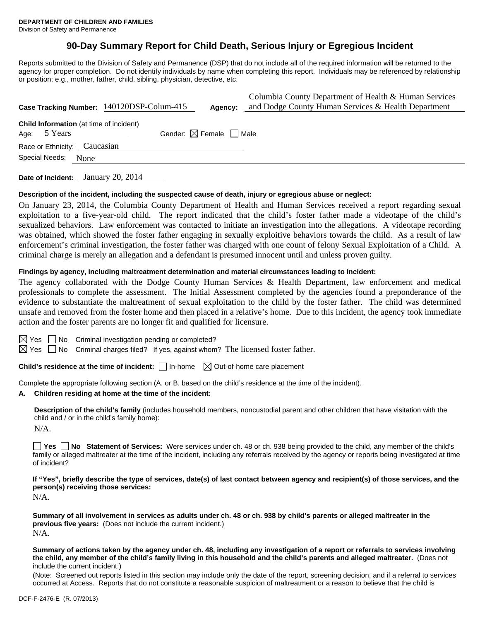# **90-Day Summary Report for Child Death, Serious Injury or Egregious Incident**

Reports submitted to the Division of Safety and Permanence (DSP) that do not include all of the required information will be returned to the agency for proper completion. Do not identify individuals by name when completing this report. Individuals may be referenced by relationship or position; e.g., mother, father, child, sibling, physician, detective, etc.

|                                                                |      | Case Tracking Number: 140120DSP-Colum-415 | Agency:                                | Columbia County Department of Health & Human Services<br>and Dodge County Human Services & Health Department |
|----------------------------------------------------------------|------|-------------------------------------------|----------------------------------------|--------------------------------------------------------------------------------------------------------------|
| <b>Child Information</b> (at time of incident)<br>Age: 5 Years |      |                                           | Gender: $\boxtimes$ Female $\Box$ Male |                                                                                                              |
| Race or Ethnicity: Caucasian<br>Special Needs:                 | None |                                           |                                        |                                                                                                              |
|                                                                |      |                                           |                                        |                                                                                                              |

**Date of Incident:** January 20, 2014

#### **Description of the incident, including the suspected cause of death, injury or egregious abuse or neglect:**

On January 23, 2014, the Columbia County Department of Health and Human Services received a report regarding sexual exploitation to a five-year-old child. The report indicated that the child's foster father made a videotape of the child's sexualized behaviors. Law enforcement was contacted to initiate an investigation into the allegations. A videotape recording was obtained, which showed the foster father engaging in sexually exploitive behaviors towards the child. As a result of law enforcement's criminal investigation, the foster father was charged with one count of felony Sexual Exploitation of a Child. A criminal charge is merely an allegation and a defendant is presumed innocent until and unless proven guilty.

# **Findings by agency, including maltreatment determination and material circumstances leading to incident:**

The agency collaborated with the Dodge County Human Services & Health Department, law enforcement and medical professionals to complete the assessment. The Initial Assessment completed by the agencies found a preponderance of the evidence to substantiate the maltreatment of sexual exploitation to the child by the foster father. The child was determined unsafe and removed from the foster home and then placed in a relative's home. Due to this incident, the agency took immediate action and the foster parents are no longer fit and qualified for licensure.

 $\boxtimes$  Yes  $\Box$  No Criminal investigation pending or completed?

 $\boxtimes$  Yes  $\Box$  No Criminal charges filed? If yes, against whom? The licensed foster father.

**Child's residence at the time of incident:**  $\Box$  In-home  $\Box$  Out-of-home care placement

Complete the appropriate following section (A. or B. based on the child's residence at the time of the incident).

#### **A. Children residing at home at the time of the incident:**

**Description of the child's family** (includes household members, noncustodial parent and other children that have visitation with the child and / or in the child's family home):

 $N/A$ .

**No No Statement of Services:** Were services under ch. 48 or ch. 938 being provided to the child, any member of the child's family or alleged maltreater at the time of the incident, including any referrals received by the agency or reports being investigated at time of incident?

**If "Yes", briefly describe the type of services, date(s) of last contact between agency and recipient(s) of those services, and the person(s) receiving those services:** 

N/A.

**Summary of all involvement in services as adults under ch. 48 or ch. 938 by child's parents or alleged maltreater in the previous five years:** (Does not include the current incident.) N/A.

**Summary of actions taken by the agency under ch. 48, including any investigation of a report or referrals to services involving the child, any member of the child's family living in this household and the child's parents and alleged maltreater.** (Does not include the current incident.)

(Note: Screened out reports listed in this section may include only the date of the report, screening decision, and if a referral to services occurred at Access. Reports that do not constitute a reasonable suspicion of maltreatment or a reason to believe that the child is